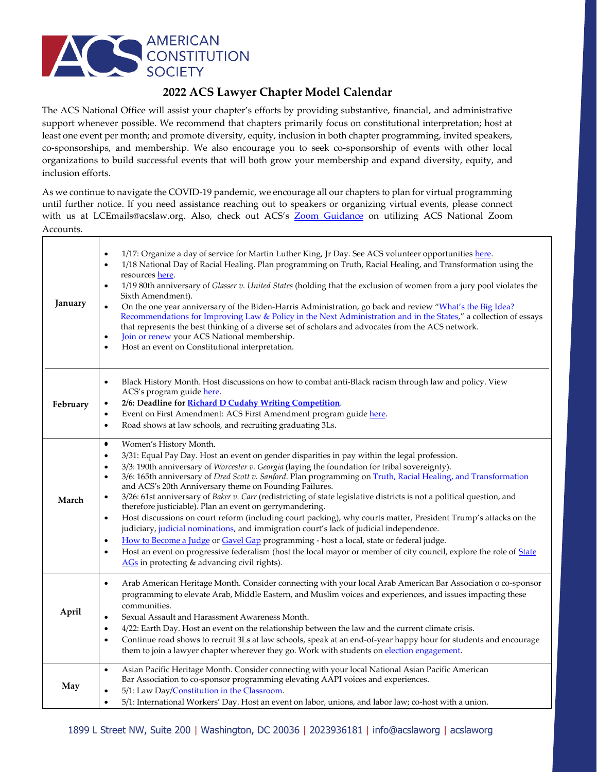

## **2022 ACS Lawyer Chapter Model Calendar**

The ACS National Office will assist your chapter's efforts by providing substantive, financial, and administrative support whenever possible. We recommend that chapters primarily focus on constitutional interpretation; host at least one event per month; and promote diversity, equity, inclusion in both chapter programming, invited speakers, co-sponsorships, and membership. We also encourage you to seek co-sponsorship of events with other local organizations to build successful events that will both grow your membership and expand diversity, equity, and inclusion efforts.

As we continue to navigate the COVID-19 pandemic, we encourage all our chapters to plan for virtual programming until further notice. If you need assistance reaching out to speakers or organizing virtual events, please connect with us at LCEmails@acslaw.org. Also, check out ACS's [Zoom Guidance](https://www.acslaw.org/wp-content/uploads/2020/07/Zoom-Guidance-for-LCs.pdf) on utilizing ACS National Zoom Accounts.

| January  | 1/17: Organize a day of service for Martin Luther King, Jr Day. See ACS volunteer opportunities here.<br>$\bullet$<br>1/18 National Day of Racial Healing. Plan programming on Truth, Racial Healing, and Transformation using the<br>$\bullet$<br>resources here.<br>1/19 80th anniversary of Glasser v. United States (holding that the exclusion of women from a jury pool violates the<br>$\bullet$<br>Sixth Amendment).<br>On the one year anniversary of the Biden-Harris Administration, go back and review "What's the Big Idea?<br>$\bullet$<br>Recommendations for Improving Law & Policy in the Next Administration and in the States," a collection of essays<br>that represents the best thinking of a diverse set of scholars and advocates from the ACS network.<br>Join or renew your ACS National membership.<br>$\bullet$<br>Host an event on Constitutional interpretation.<br>$\bullet$                                                                                                                                                                                                                                                                      |
|----------|----------------------------------------------------------------------------------------------------------------------------------------------------------------------------------------------------------------------------------------------------------------------------------------------------------------------------------------------------------------------------------------------------------------------------------------------------------------------------------------------------------------------------------------------------------------------------------------------------------------------------------------------------------------------------------------------------------------------------------------------------------------------------------------------------------------------------------------------------------------------------------------------------------------------------------------------------------------------------------------------------------------------------------------------------------------------------------------------------------------------------------------------------------------------------------|
| February | Black History Month. Host discussions on how to combat anti-Black racism through law and policy. View<br>$\bullet$<br>ACS's program guide here.<br>2/6: Deadline for Richard D Cudahy Writing Competition.<br>$\bullet$<br>Event on First Amendment: ACS First Amendment program guide here.<br>$\bullet$<br>Road shows at law schools, and recruiting graduating 3Ls.<br>$\bullet$                                                                                                                                                                                                                                                                                                                                                                                                                                                                                                                                                                                                                                                                                                                                                                                              |
| March    | Women's History Month.<br>$\bullet$<br>3/31: Equal Pay Day. Host an event on gender disparities in pay within the legal profession.<br>$\bullet$<br>3/3: 190th anniversary of Worcester v. Georgia (laying the foundation for tribal sovereignty).<br>$\bullet$<br>3/6: 165th anniversary of Dred Scott v. Sanford. Plan programming on Truth, Racial Healing, and Transformation<br>$\bullet$<br>and ACS's 20th Anniversary theme on Founding Failures.<br>3/26: 61st anniversary of Baker v. Carr (redistricting of state legislative districts is not a political question, and<br>$\bullet$<br>therefore justiciable). Plan an event on gerrymandering.<br>Host discussions on court reform (including court packing), why courts matter, President Trump's attacks on the<br>$\bullet$<br>judiciary, judicial nominations, and immigration court's lack of judicial independence.<br>How to Become a Judge or Gavel Gap programming - host a local, state or federal judge.<br>$\bullet$<br>Host an event on progressive federalism (host the local mayor or member of city council, explore the role of State<br>$\bullet$<br>AGs in protecting & advancing civil rights). |
| April    | Arab American Heritage Month. Consider connecting with your local Arab American Bar Association o co-sponsor<br>$\bullet$<br>programming to elevate Arab, Middle Eastern, and Muslim voices and experiences, and issues impacting these<br>communities.<br>Sexual Assault and Harassment Awareness Month.<br>$\bullet$<br>4/22: Earth Day. Host an event on the relationship between the law and the current climate crisis.<br>$\bullet$<br>Continue road shows to recruit 3Ls at law schools, speak at an end-of-year happy hour for students and encourage<br>$\bullet$<br>them to join a lawyer chapter wherever they go. Work with students on election engagement.                                                                                                                                                                                                                                                                                                                                                                                                                                                                                                         |
| May      | Asian Pacific Heritage Month. Consider connecting with your local National Asian Pacific American<br>$\bullet$<br>Bar Association to co-sponsor programming elevating AAPI voices and experiences.<br>5/1: Law Day/Constitution in the Classroom.<br>$\bullet$<br>5/1: International Workers' Day. Host an event on labor, unions, and labor law; co-host with a union.<br>$\bullet$                                                                                                                                                                                                                                                                                                                                                                                                                                                                                                                                                                                                                                                                                                                                                                                             |